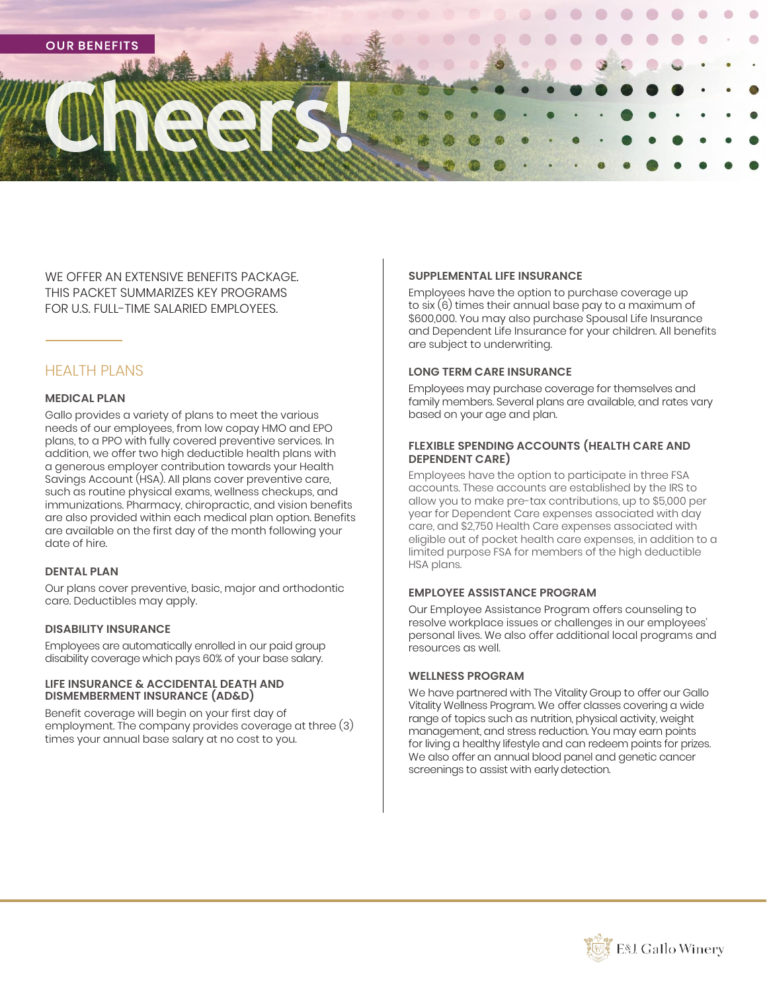

WE OFFER AN EXTENSIVE BENEFITS PACKAGE. THIS PACKET SUMMARIZES KEY PROGRAMS FOR U.S. FULL-TIME SALARIED EMPLOYEES.

# HEALTH PLANS

#### **MEDICAL PLAN**

Gallo provides a variety of plans to meet the various needs of our employees, from low copay HMO and EPO plans, to a PPO with fully covered preventive services. In addition, we offer two high deductible health plans with a generous employer contribution towards your Health Savings Account (HSA). All plans cover preventive care, such as routine physical exams, wellness checkups, and immunizations. Pharmacy, chiropractic, and vision benefits are also provided within each medical plan option. Benefits are available on the first day of the month following your date of hire.

#### **DENTAL PLAN**

Our plans cover preventive, basic, major and orthodontic care. Deductibles may apply.

#### **DISABILITY INSURANCE**

Employees are automatically enrolled in our paid group disability coverage which pays 60% of your base salary.

#### **LIFE INSURANCE & ACCIDENTAL DEATH AND DISMEMBERMENT INSURANCE (AD&D)**

Benefit coverage will begin on your first day of employment. The company provides coverage at three (3) times your annual base salary at no cost to you.

#### **SUPPLEMENTAL LIFE INSURANCE**

Employees have the option to purchase coverage up to six (6) times their annual base pay to a maximum of \$600,000. You may also purchase Spousal Life Insurance and Dependent Life Insurance for your children. All benefits are subject to underwriting.

#### **LONG TERM CARE INSURANCE**

Employees may purchase coverage for themselves and family members. Several plans are available, and rates vary based on your age and plan.

#### **FLEXIBLE SPENDING ACCOUNTS (HEALTH CARE AND DEPENDENT CARE)**

Employees have the option to participate in three FSA accounts. These accounts are established by the IRS to allow you to make pre-tax contributions, up to \$5,000 per year for Dependent Care expenses associated with day care, and \$2,750 Health Care expenses associated with eligible out of pocket health care expenses, in addition to a limited purpose FSA for members of the high deductible HSA plans.

#### **EMPLOYEE ASSISTANCE PROGRAM**

Our Employee Assistance Program offers counseling to resolve workplace issues or challenges in our employees' personal lives. We also offer additional local programs and resources as well.

#### **WELLNESS PROGRAM**

We have partnered with The Vitality Group to offer our Gallo Vitality Wellness Program. We offer classes covering a wide range of topics such as nutrition, physical activity, weight management, and stress reduction. You may earn points for living a healthy lifestyle and can redeem points for prizes. We also offer an annual blood panel and genetic cancer screenings to assist with early detection.

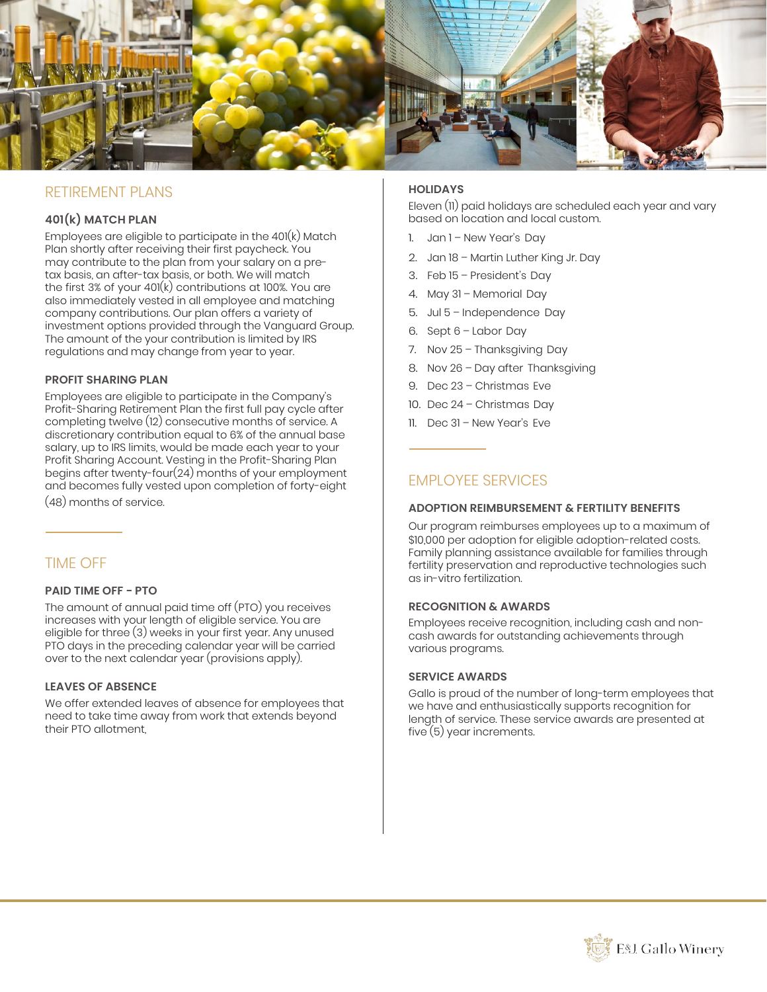

# RETIREMENT PI ANS

# **401(k) MATCH PLAN**

Employees are eligible to participate in the  $401(k)$  Match Plan shortly after receiving their first paycheck. You may contribute to the plan from your salary on a pretax basis, an after-tax basis, or both. We will match the first 3% of your 401(k) contributions at 100%. You are also immediately vested in all employee and matching company contributions. Our plan offers a variety of investment options provided through the Vanguard Group. The amount of the your contribution is limited by IRS regulations and may change from year to year.

## **PROFIT SHARING PLAN**

Employees are eligible to participate in the Company's Profit-Sharing Retirement Plan the first full pay cycle after completing twelve (12) consecutive months of service. A discretionary contribution equal to 6% of the annual base salary, up to IRS limits, would be made each year to your Profit Sharing Account. Vesting in the Profit-Sharing Plan begins after twenty-four(24) months of your employment and becomes fully vested upon completion of forty-eight

(48) months of service.

# TIME OFF

#### **PAID TIME OFF − PTO**

The amount of annual paid time off (PTO) you receives increases with your length of eligible service. You are eligible for three (3) weeks in your first year. Any unused PTO days in the preceding calendar year will be carried over to the next calendar year (provisions apply).

#### **LEAVES OF ABSENCE**

We offer extended leaves of absence for employees that need to take time away from work that extends beyond their PTO allotment,

# **HOLIDAYS**

Eleven (11) paid holidays are scheduled each year and vary based on location and local custom.

- 1. Jan 1 New Year's Day
- 2. Jan 18 Martin Luther King Jr. Day
- 3. Feb 15 President's Day
- 4. May 31 Memorial Day
- 5. Jul 5 Independence Day
- 6. Sept 6 Labor Day
- 7. Nov 25 Thanksgiving Day
- 8. Nov 26 Day after Thanksgiving
- 9. Dec 23 Christmas Eve
- 10. Dec 24 Christmas Day
- 11. Dec 31 New Year's Eve

# EMPLOYEE SERVICES

#### **ADOPTION REIMBURSEMENT & FERTILITY BENEFITS**

Our program reimburses employees up to a maximum of \$10,000 per adoption for eligible adoption-related costs. Family planning assistance available for families through fertility preservation and reproductive technologies such as in-vitro fertilization.

### **RECOGNITION & AWARDS**

Employees receive recognition, including cash and noncash awards for outstanding achievements through various programs.

#### **SERVICE AWARDS**

Gallo is proud of the number of long-term employees that we have and enthusiastically supports recognition for length of service. These service awards are presented at five (5) year increments.